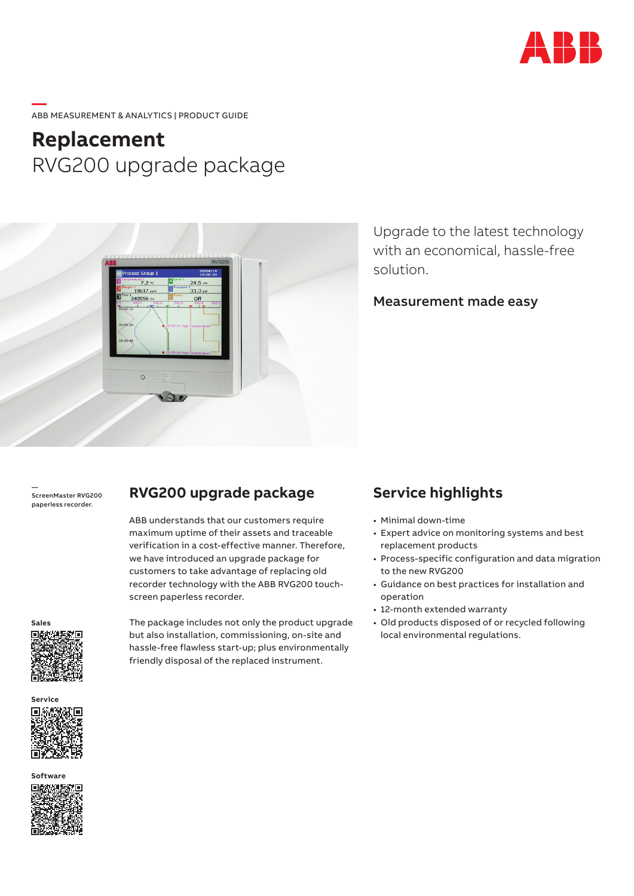

#### **—**  ABB MEASUREMENT & ANALYTICS | PRODUCT GUIDE

# **Replacement** RVG200 upgrade package



Upgrade to the latest technology with an economical, hassle-free solution.

Measurement made easy

— ScreenMaster RVG200 paperless recorder.

### **RVG200 upgrade package**

ABB understands that our customers require maximum uptime of their assets and traceable verification in a cost-effective manner. Therefore, we have introduced an upgrade package for customers to take advantage of replacing old recorder technology with the ABB RVG200 touchscreen paperless recorder.



**Service**

The package includes not only the product upgrade but also installation, commissioning, on-site and hassle-free flawless start-up; plus environmentally friendly disposal of the replaced instrument.

# **Service highlights**

- Minimal down-time
- Expert advice on monitoring systems and best replacement products
- Process-specific configuration and data migration to the new RVG200
- Guidance on best practices for installation and operation
- 12-month extended warranty
- Old products disposed of or recycled following local environmental regulations.